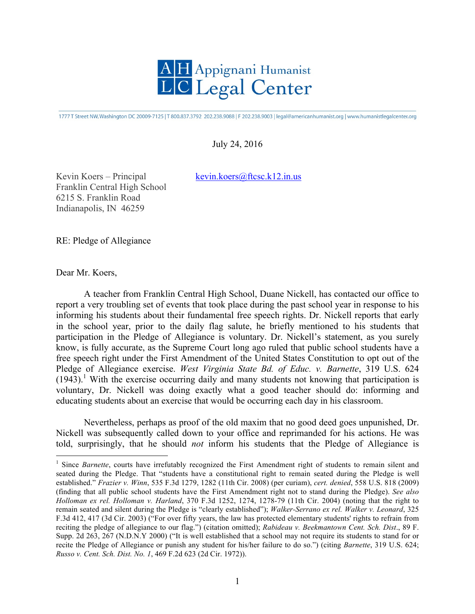

1777 T Street NW, Washington DC 20009-7125 | T 800.837.3792 202.238.9088 | F 202.238.9003 | legal@americanhumanist.org | www.humanistlegalcenter.org

## July 24, 2016

Kevin Koers – Principal kevin.koers@ftcsc.k12.in.us

Franklin Central High School 6215 S. Franklin Road Indianapolis, IN 46259

RE: Pledge of Allegiance

Dear Mr. Koers,

A teacher from Franklin Central High School, Duane Nickell, has contacted our office to report a very troubling set of events that took place during the past school year in response to his informing his students about their fundamental free speech rights. Dr. Nickell reports that early in the school year, prior to the daily flag salute, he briefly mentioned to his students that participation in the Pledge of Allegiance is voluntary. Dr. Nickell's statement, as you surely know, is fully accurate, as the Supreme Court long ago ruled that public school students have a free speech right under the First Amendment of the United States Constitution to opt out of the Pledge of Allegiance exercise. *West Virginia State Bd. of Educ. v. Barnette*, 319 U.S. 624  $(1943).$ <sup>1</sup> With the exercise occurring daily and many students not knowing that participation is voluntary, Dr. Nickell was doing exactly what a good teacher should do: informing and educating students about an exercise that would be occurring each day in his classroom.

Nevertheless, perhaps as proof of the old maxim that no good deed goes unpunished, Dr. Nickell was subsequently called down to your office and reprimanded for his actions. He was told, surprisingly, that he should *not* inform his students that the Pledge of Allegiance is

<sup>&</sup>lt;sup>1</sup> Since *Barnette*, courts have irrefutably recognized the First Amendment right of students to remain silent and seated during the Pledge. That "students have a constitutional right to remain seated during the Pledge is well established." *Frazier v. Winn*, 535 F.3d 1279, 1282 (11th Cir. 2008) (per curiam), *cert. denied*, 558 U.S. 818 (2009) (finding that all public school students have the First Amendment right not to stand during the Pledge). *See also Holloman ex rel. Holloman v. Harland*, 370 F.3d 1252, 1274, 1278-79 (11th Cir. 2004) (noting that the right to remain seated and silent during the Pledge is "clearly established"); *Walker-Serrano ex rel. Walker v. Leonard*, 325 F.3d 412, 417 (3d Cir. 2003) ("For over fifty years, the law has protected elementary students' rights to refrain from reciting the pledge of allegiance to our flag.") (citation omitted); *Rabideau v. Beekmantown Cent. Sch. Dist*., 89 F. Supp. 2d 263, 267 (N.D.N.Y 2000) ("It is well established that a school may not require its students to stand for or recite the Pledge of Allegiance or punish any student for his/her failure to do so.") (citing *Barnette*, 319 U.S. 624; *Russo v. Cent. Sch. Dist. No. 1*, 469 F.2d 623 (2d Cir. 1972)).